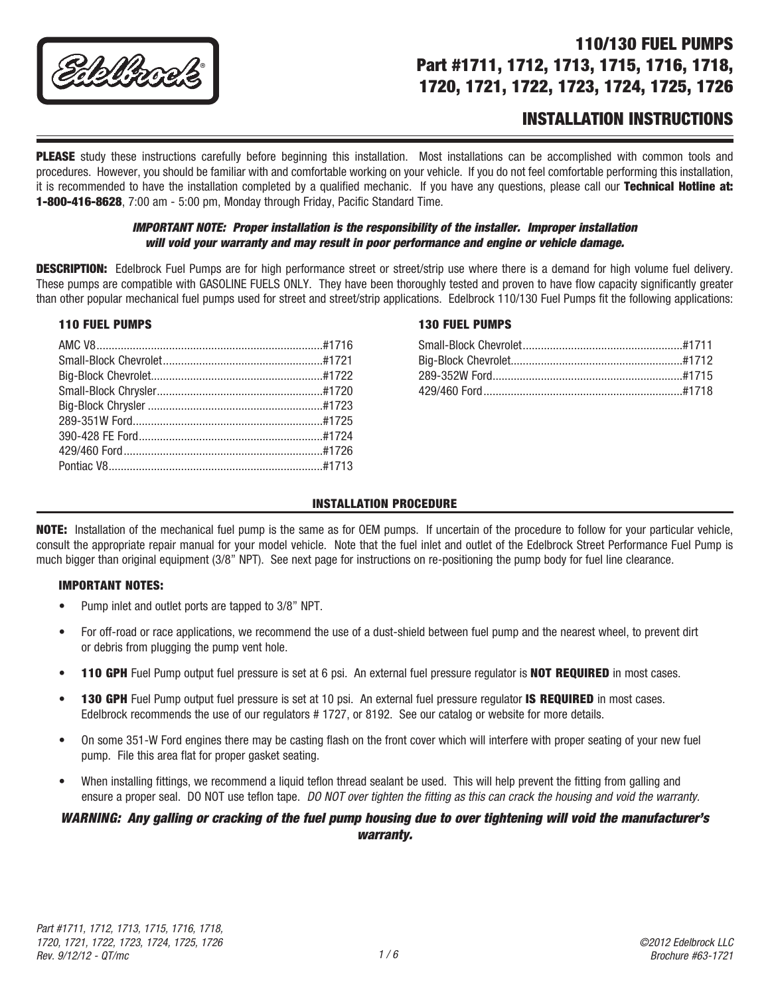

# 110/130 FUEL PUMPS Part #1711, 1712, 1713, 1715, 1716, 1718, 1720, 1721, 1722, 1723, 1724, 1725, 1726

# INSTALLATION INSTRUCTIONS

**PLEASE** study these instructions carefully before beginning this installation. Most installations can be accomplished with common tools and procedures. However, you should be familiar with and comfortable working on your vehicle. If you do not feel comfortable performing this installation, it is recommended to have the installation completed by a qualified mechanic. If you have any questions, please call our Technical Hotline at: 1-800-416-8628, 7:00 am - 5:00 pm, Monday through Friday, Pacific Standard Time.

#### *IMPORTANT NOTE: Proper installation is the responsibility of the installer. Improper installation will void your warranty and may result in poor performance and engine or vehicle damage.*

**DESCRIPTION:** Edelbrock Fuel Pumps are for high performance street or street/strip use where there is a demand for high volume fuel delivery. These pumps are compatible with GASOLINE FUELS ONLY. They have been thoroughly tested and proven to have flow capacity significantly greater than other popular mechanical fuel pumps used for street and street/strip applications. Edelbrock 110/130 Fuel Pumps fit the following applications:

#### 110 FUEL PUMPS

#### 130 FUEL PUMPS

## INSTALLATION PROCEDURE

NOTE: Installation of the mechanical fuel pump is the same as for OEM pumps. If uncertain of the procedure to follow for your particular vehicle, consult the appropriate repair manual for your model vehicle. Note that the fuel inlet and outlet of the Edelbrock Street Performance Fuel Pump is much bigger than original equipment (3/8" NPT). See next page for instructions on re-positioning the pump body for fuel line clearance.

#### IMPORTANT NOTES:

- Pump inlet and outlet ports are tapped to 3/8" NPT.
- For off-road or race applications, we recommend the use of a dust-shield between fuel pump and the nearest wheel, to prevent dirt or debris from plugging the pump vent hole.
- **110 GPH** Fuel Pump output fuel pressure is set at 6 psi. An external fuel pressure requiator is **NOT REQUIRED** in most cases.
- 130 GPH Fuel Pump output fuel pressure is set at 10 psi. An external fuel pressure regulator IS REQUIRED in most cases. Edelbrock recommends the use of our regulators # 1727, or 8192. See our catalog or website for more details.
- On some 351-W Ford engines there may be casting flash on the front cover which will interfere with proper seating of your new fuel pump. File this area flat for proper gasket seating.
- When installing fittings, we recommend a liquid teflon thread sealant be used. This will help prevent the fitting from galling and ensure a proper seal. DO NOT use teflon tape. *DO NOT over tighten the fitting as this can crack the housing and void the warranty.*

#### *WARNING: Any galling or cracking of the fuel pump housing due to over tightening will void the manufacturer's warranty.*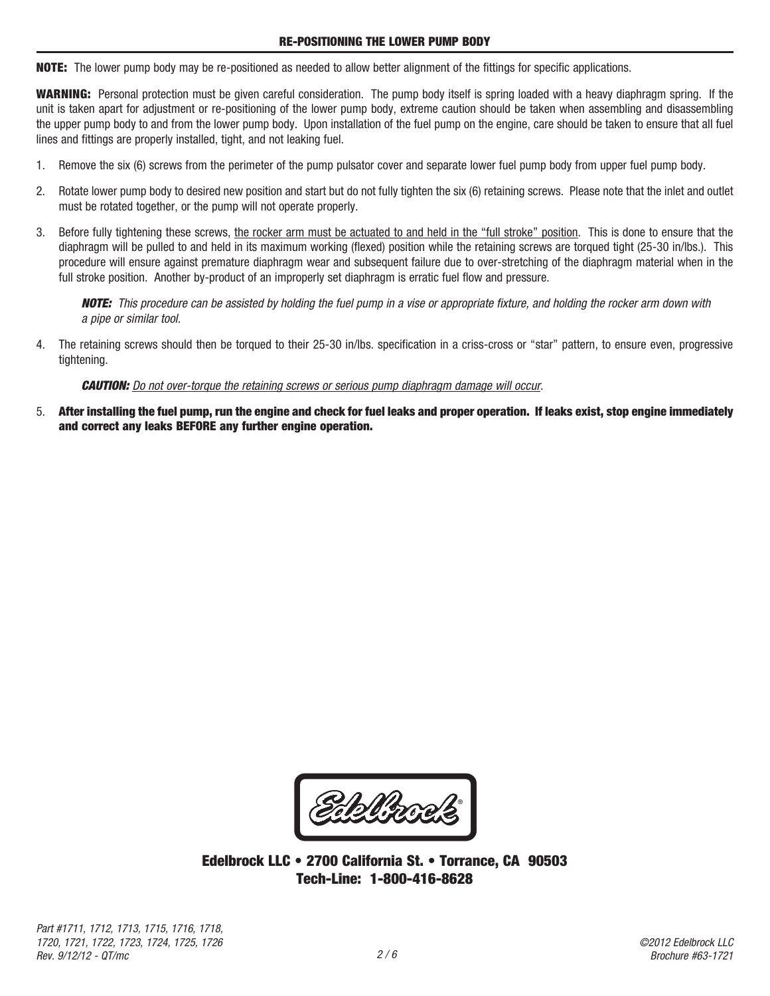NOTE: The lower pump body may be re-positioned as needed to allow better alignment of the fittings for specific applications.

WARNING: Personal protection must be given careful consideration. The pump body itself is spring loaded with a heavy diaphragm spring. If the unit is taken apart for adjustment or re-positioning of the lower pump body, extreme caution should be taken when assembling and disassembling the upper pump body to and from the lower pump body. Upon installation of the fuel pump on the engine, care should be taken to ensure that all fuel lines and fittings are properly installed, tight, and not leaking fuel.

- 1. Remove the six (6) screws from the perimeter of the pump pulsator cover and separate lower fuel pump body from upper fuel pump body.
- 2. Rotate lower pump body to desired new position and start but do not fully tighten the six (6) retaining screws. Please note that the inlet and outlet must be rotated together, or the pump will not operate properly.
- 3. Before fully tightening these screws, the rocker arm must be actuated to and held in the "full stroke" position. This is done to ensure that the diaphragm will be pulled to and held in its maximum working (flexed) position while the retaining screws are torqued tight (25-30 in/lbs.). This procedure will ensure against premature diaphragm wear and subsequent failure due to over-stretching of the diaphragm material when in the full stroke position. Another by-product of an improperly set diaphragm is erratic fuel flow and pressure.

*NOTE: This procedure can be assisted by holding the fuel pump in a vise or appropriate fixture, and holding the rocker arm down with a pipe or similar tool.*

4. The retaining screws should then be torqued to their 25-30 in/lbs. specification in a criss-cross or "star" pattern, to ensure even, progressive tightening.

#### *CAUTION: Do not over-torque the retaining screws or serious pump diaphragm damage will occur.*

5. After installing the fuel pump, run the engine and check for fuel leaks and proper operation. If leaks exist, stop engine immediately and correct any leaks BEFORE any further engine operation.

Eblizeck

Edelbrock LLC • 2700 California St. • Torrance, CA 90503 Tech-Line: 1-800-416-8628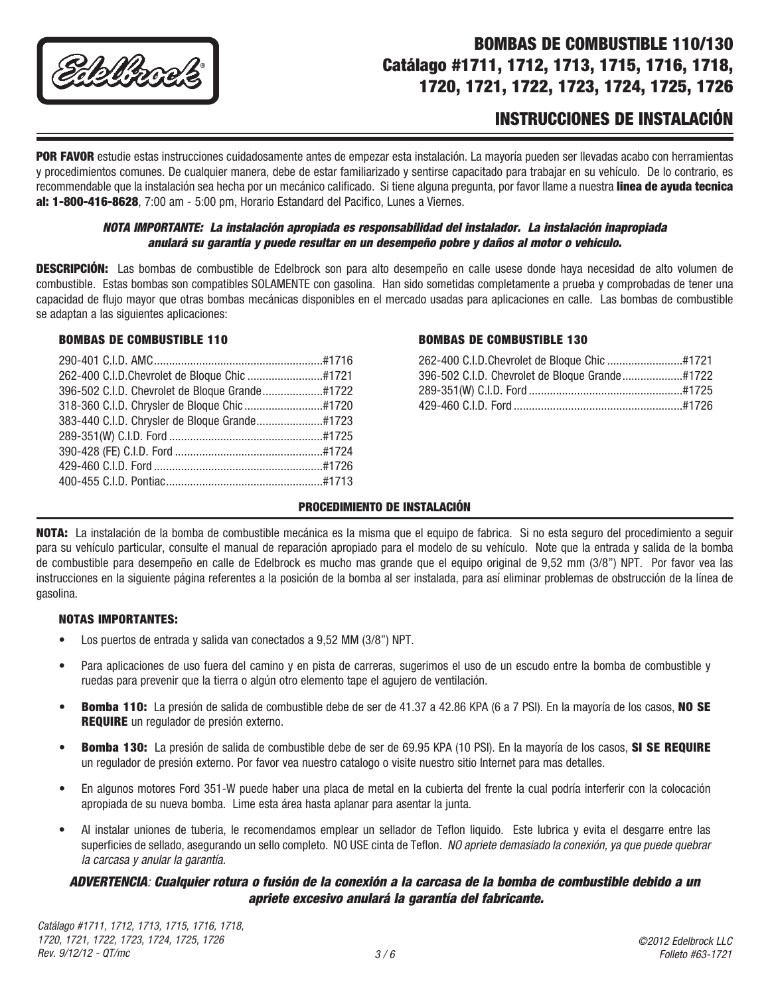

# BOMBAS DE COMBUSTIBLE 110/130 Catálago #1711, 1712, 1713, 1715, 1716, 1718, 1720, 1721, 1722, 1723, 1724, 1725, 1726

# INSTRUCCIONES DE INSTALACIÓN

POR FAVOR estudie estas instrucciones cuidadosamente antes de empezar esta instalación. La mayoría pueden ser llevadas acabo con herramientas y procedimientos comunes. De cualquier manera, debe de estar familiarizado y sentirse capacitado para trabajar en su vehículo. De lo contrario, es recommendable que la instalación sea hecha por un mecánico calificado. Si tiene alguna pregunta, por favor llame a nuestra linea de ayuda tecnica al: 1-800-416-8628, 7:00 am - 5:00 pm, Horario Estandard del Pacifico, Lunes a Viernes.

#### *NOTA IMPORTANTE: La instalación apropiada es responsabilidad del instalador. La instalación inapropiada anulará su garantía y puede resultar en un desempeño pobre y daños al motor o vehículo.*

DESCRIPCIÓN: Las bombas de combustible de Edelbrock son para alto desempeño en calle usese donde haya necesidad de alto volumen de combustible. Estas bombas son compatibles SOLAMENTE con gasolina. Han sido sometidas completamente a prueba y comprobadas de tener una capacidad de flujo mayor que otras bombas mecánicas disponibles en el mercado usadas para aplicaciones en calle. Las bombas de combustible se adaptan a las siguientes aplicaciones:

#### BOMBAS DE COMBUSTIBLE 110

# BOMBAS DE COMBUSTIBLE 130

#### PROCEDIMIENTO DE INSTALACIÓN

NOTA: La instalación de la bomba de combustible mecánica es la misma que el equipo de fabrica. Si no esta seguro del procedimiento a seguir para su vehículo particular, consulte el manual de reparación apropiado para el modelo de su vehículo. Note que la entrada y salida de la bomba de combustible para desempeño en calle de Edelbrock es mucho mas grande que el equipo original de 9,52 mm (3/8") NPT. Por favor vea las instrucciones en la siguiente página referentes a la posición de la bomba al ser instalada, para así eliminar problemas de obstrucción de la línea de gasolina.

#### NOTAS IMPORTANTES:

- Los puertos de entrada y salida van conectados a 9,52 MM (3/8") NPT.
- • Para aplicaciones de uso fuera del camino y en pista de carreras, sugerimos el uso de un escudo entre la bomba de combustible y ruedas para prevenir que la tierra o algún otro elemento tape el agujero de ventilación.
- Bomba 110: La presión de salida de combustible debe de ser de 41.37 a 42.86 KPA (6 a 7 PSI). En la mayoría de los casos, NO SE **REQUIRE** un regulador de presión externo.
- Bomba 130: La presión de salida de combustible debe de ser de 69.95 KPA (10 PSI). En la mayoría de los casos, SI SE REQUIRE un regulador de presión externo. Por favor vea nuestro catalogo o visite nuestro sitio Internet para mas detalles.
- • En algunos motores Ford 351-W puede haber una placa de metal en la cubierta del frente la cual podría interferir con la colocación apropiada de su nueva bomba. Lime esta área hasta aplanar para asentar la junta.
- Al instalar uniones de tuberia, le recomendamos emplear un sellador de Teflon liquido. Este lubrica y evita el desgarre entre las superficies de sellado, asegurando un sello completo. NO USE cinta de Teflon. *NO apriete demasiado la conexión, ya que puede quebrar la carcasa y anular la garantía.*

# *ADVERTENCIA: Cualquier rotura o fusión de la conexión a la carcasa de la bomba de combustible debido a un apriete excesivo anulará la garantía del fabricante.*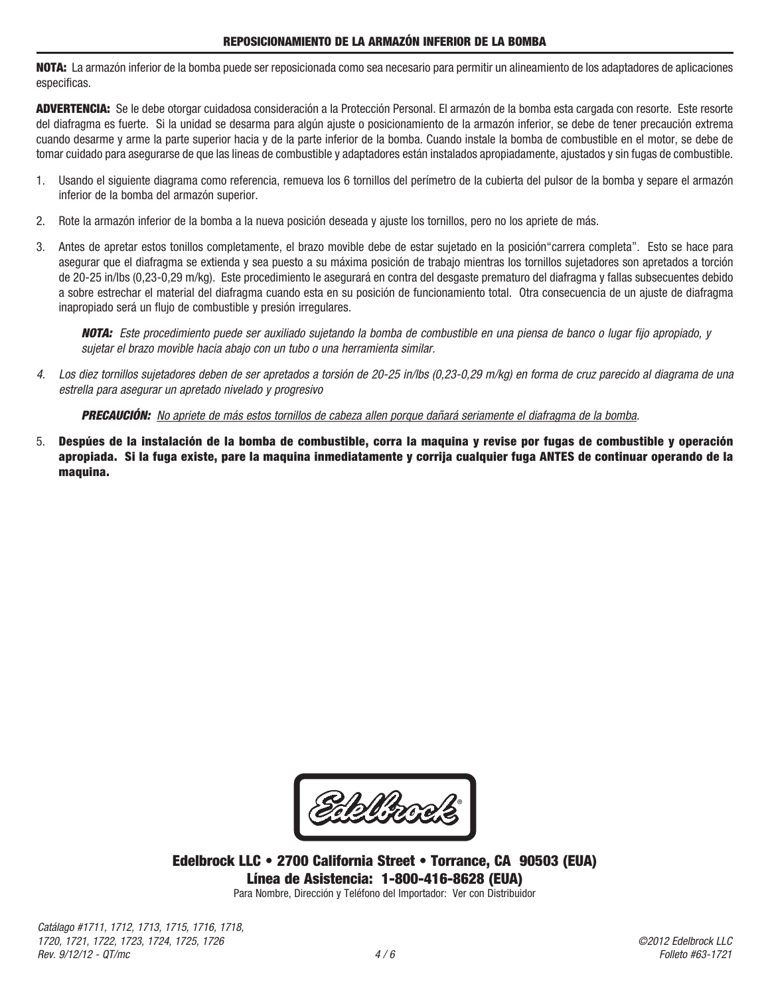NOTA: La armazón inferior de la bomba puede ser reposicionada como sea necesario para permitir un alineamiento de los adaptadores de aplicaciones especificas.

ADVERTENCIA: Se le debe otorgar cuidadosa consideración a la Protección Personal. El armazón de la bomba esta cargada con resorte. Este resorte del diafragma es fuerte. Si la unidad se desarma para algún ajuste o posicionamiento de la armazón inferior, se debe de tener precaución extrema cuando desarme y arme la parte superior hacia y de la parte inferior de la bomba. Cuando instale la bomba de combustible en el motor, se debe de tomar cuidado para asegurarse de que las lineas de combustible y adaptadores están instalados apropiadamente, ajustados y sin fugas de combustible.

- 1. Usando el siguiente diagrama como referencia, remueva los 6 tornillos del perímetro de la cubierta del pulsor de la bomba y separe el armazón inferior de la bomba del armazón superior.
- 2. Rote la armazón inferior de la bomba a la nueva posición deseada y ajuste los tornillos, pero no los apriete de más.
- 3. Antes de apretar estos tonillos completamente, el brazo movible debe de estar sujetado en la posición"carrera completa". Esto se hace para asegurar que el diafragma se extienda y sea puesto a su máxima posición de trabajo mientras los tornillos sujetadores son apretados a torción de 20-25 in/lbs (0,23-0,29 m/kg). Este procedimiento le asegurará en contra del desgaste prematuro del diafragma y fallas subsecuentes debido a sobre estrechar el material del diafragma cuando esta en su posición de funcionamiento total. Otra consecuencia de un ajuste de diafragma inapropiado será un flujo de combustible y presión irregulares.

*NOTA: Este procedimiento puede ser auxiliado sujetando la bomba de combustible en una piensa de banco o lugar fijo apropiado, y sujetar el brazo movible hacia abajo con un tubo o una herramienta similar.*

*4. Los diez tornillos sujetadores deben de ser apretados a torsión de 20-25 in/lbs (0,23-0,29 m/kg) en forma de cruz parecido al diagrama de una estrella para asegurar un apretado nivelado y progresivo*

*PRECAUCIÓN: No apriete de más estos tornillos de cabeza allen porque dañará seriamente el diafragma de la bomba.*

5. Despúes de la instalación de la bomba de combustible, corra la maquina y revise por fugas de combustible y operación apropiada. Si la fuga existe, pare la maquina inmediatamente y corrija cualquier fuga ANTES de continuar operando de la maquina.

Eddlizools<sup>\*</sup>

Edelbrock LLC • 2700 California Street • Torrance, CA 90503 (EUA) Línea de Asistencia: 1-800-416-8628 (EUA)

Para Nombre, Dirección y Teléfono del Importador: Ver con Distribuidor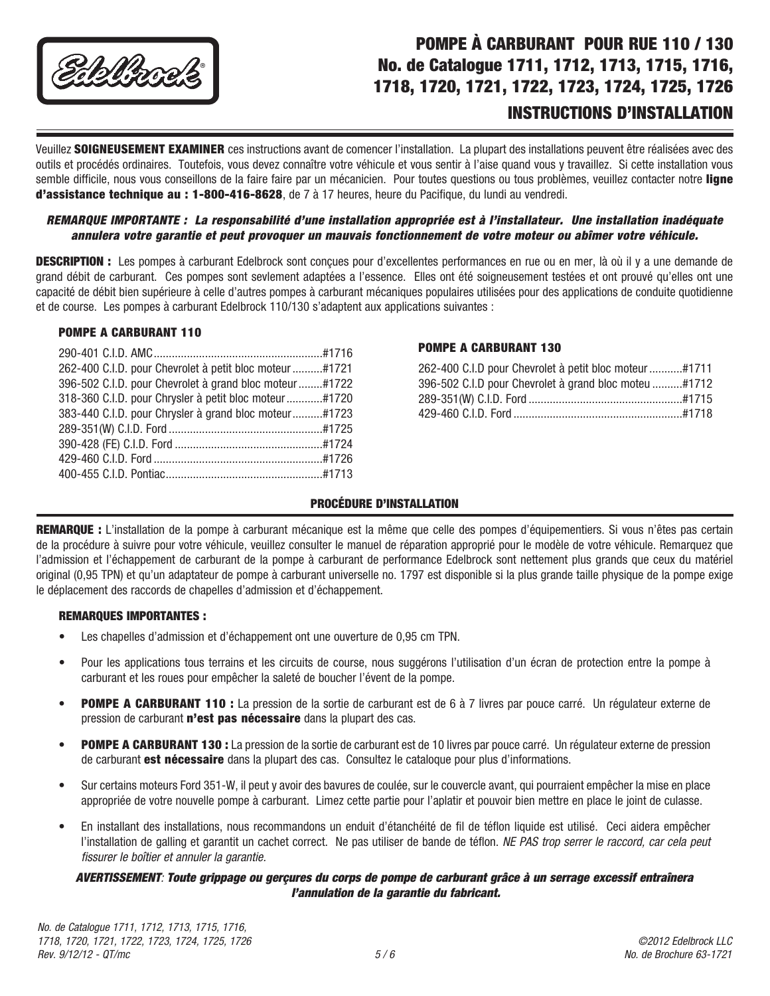

# POMPE À CARBURANT POUR RUE 110 / 130 No. de Catalogue 1711, 1712, 1713, 1715, 1716, 1718, 1720, 1721, 1722, 1723, 1724, 1725, 1726

# INSTRUCTIONS D'INSTALLATION

Veuillez SOIGNEUSEMENT EXAMINER ces instructions avant de comencer l'installation. La plupart des installations peuvent être réalisées avec des outils et procédés ordinaires. Toutefois, vous devez connaître votre véhicule et vous sentir à l'aise quand vous y travaillez. Si cette installation vous semble difficile, nous vous conseillons de la faire faire par un mécanicien. Pour toutes questions ou tous problèmes, veuillez contacter notre ligne d'assistance technique au : 1-800-416-8628, de 7 à 17 heures, heure du Pacifique, du lundi au vendredi.

## *REMARQUE IMPORTANTE : La responsabilité d'une installation appropriée est à l'installateur. Une installation inadéquate annulera votre garantie et peut provoquer un mauvais fonctionnement de votre moteur ou abîmer votre véhicule.*

DESCRIPTION : Les pompes à carburant Edelbrock sont conçues pour d'excellentes performances en rue ou en mer, là où il y a une demande de grand débit de carburant. Ces pompes sont sevlement adaptées a l'essence. Elles ont été soigneusement testées et ont prouvé qu'elles ont une capacité de débit bien supérieure à celle d'autres pompes à carburant mécaniques populaires utilisées pour des applications de conduite quotidienne et de course. Les pompes à carburant Edelbrock 110/130 s'adaptent aux applications suivantes :

#### POMPE A CARBURANT 110

| 262-400 C.I.D. pour Chevrolet à petit bloc moteur #1721 |  |
|---------------------------------------------------------|--|
| 396-502 C.I.D. pour Chevrolet à grand bloc moteur#1722  |  |
| 318-360 C.I.D. pour Chrysler à petit bloc moteur#1720   |  |
| 383-440 C.I.D. pour Chrysler à grand bloc moteur#1723   |  |
|                                                         |  |
|                                                         |  |
|                                                         |  |
|                                                         |  |
|                                                         |  |

## POMPE A CARBURANT 130

| 262-400 C.I.D pour Chevrolet à petit bloc moteur#1711 |  |
|-------------------------------------------------------|--|
| 396-502 C.I.D pour Chevrolet à grand bloc moteu #1712 |  |
|                                                       |  |
|                                                       |  |

## PROCÉDURE D'INSTALLATION

REMARQUE : L'installation de la pompe à carburant mécanique est la même que celle des pompes d'équipementiers. Si vous n'êtes pas certain de la procédure à suivre pour votre véhicule, veuillez consulter le manuel de réparation approprié pour le modèle de votre véhicule. Remarquez que l'admission et l'échappement de carburant de la pompe à carburant de performance Edelbrock sont nettement plus grands que ceux du matériel original (0,95 TPN) et qu'un adaptateur de pompe à carburant universelle no. 1797 est disponible si la plus grande taille physique de la pompe exige le déplacement des raccords de chapelles d'admission et d'échappement.

# REMARQUES IMPORTANTES :

- • Les chapelles d'admission et d'échappement ont une ouverture de 0,95 cm TPN.
- • Pour les applications tous terrains et les circuits de course, nous suggérons l'utilisation d'un écran de protection entre la pompe à carburant et les roues pour empêcher la saleté de boucher l'évent de la pompe.
- POMPE A CARBURANT 110 : La pression de la sortie de carburant est de 6 à 7 livres par pouce carré. Un régulateur externe de pression de carburant n'est pas nécessaire dans la plupart des cas.
- POMPE A CARBURANT 130 : La pression de la sortie de carburant est de 10 livres par pouce carré. Un régulateur externe de pression de carburant **est nécessaire** dans la plupart des cas. Consultez le cataloque pour plus d'informations.
- • Sur certains moteurs Ford 351-W, il peut y avoir des bavures de coulée, sur le couvercle avant, qui pourraient empêcher la mise en place appropriée de votre nouvelle pompe à carburant. Limez cette partie pour l'aplatir et pouvoir bien mettre en place le joint de culasse.
- • En installant des installations, nous recommandons un enduit d'étanchéité de fil de téflon liquide est utilisé. Ceci aidera empêcher l'installation de galling et garantit un cachet correct. Ne pas utiliser de bande de téflon. *NE PAS trop serrer le raccord, car cela peut fissurer le boîtier et annuler la garantie.*

## *AVERTISSEMENT: Toute grippage ou gerçures du corps de pompe de carburant grâce à un serrage excessif entraînera l'annulation de la garantie du fabricant.*